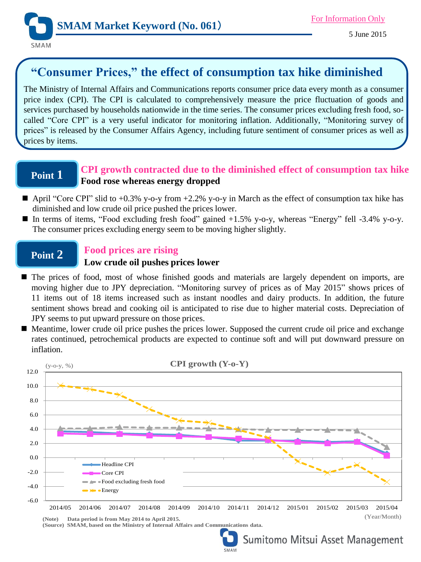

# **"Consumer Prices," the effect of consumption tax hike diminished**

The Ministry of Internal Affairs and Communications reports consumer price data every month as a consumer price index (CPI). The CPI is calculated to comprehensively measure the price fluctuation of goods and services purchased by households nationwide in the time series. The consumer prices excluding fresh food, socalled "Core CPI" is a very useful indicator for monitoring inflation. Additionally, "Monitoring survey of prices" is released by the Consumer Affairs Agency, including future sentiment of consumer prices as well as prices by items.

# **Point 1**

## **CPI growth contracted due to the diminished effect of consumption tax hike Food rose whereas energy dropped**

- April "Core CPI" slid to  $+0.3\%$  y-o-y from  $+2.2\%$  y-o-y in March as the effect of consumption tax hike has diminished and low crude oil price pushed the prices lower.
- In terms of items, "Food excluding fresh food" gained  $+1.5\%$  y-o-y, whereas "Energy" fell -3.4% y-o-y. The consumer prices excluding energy seem to be moving higher slightly.

### **Point 2 Food prices are rising**

### **Low crude oil pushes prices lower**

- $\blacksquare$  The prices of food, most of whose finished goods and materials are largely dependent on imports, are moving higher due to JPY depreciation. "Monitoring survey of prices as of May 2015" shows prices of 11 items out of 18 items increased such as instant noodles and dairy products. In addition, the future sentiment shows bread and cooking oil is anticipated to rise due to higher material costs. Depreciation of JPY seems to put upward pressure on those prices.
- Meantime, lower crude oil price pushes the prices lower. Supposed the current crude oil price and exchange rates continued, petrochemical products are expected to continue soft and will put downward pressure on inflation.



**(Note) Data period is from May 2014 to April 2015. (Source) SMAM, based on the Ministry of Internal Affairs and Communications data.**